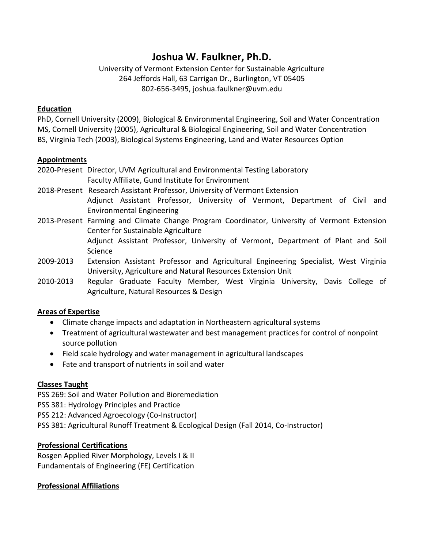# **Joshua W. Faulkner, Ph.D.**

University of Vermont Extension Center for Sustainable Agriculture 264 Jeffords Hall, 63 Carrigan Dr., Burlington, VT 05405 802-656-3495, joshua.faulkner@uvm.edu

# **Education**

PhD, Cornell University (2009), Biological & Environmental Engineering, Soil and Water Concentration MS, Cornell University (2005), Agricultural & Biological Engineering, Soil and Water Concentration BS, Virginia Tech (2003), Biological Systems Engineering, Land and Water Resources Option

#### **Appointments**

2020-Present Director, UVM Agricultural and Environmental Testing Laboratory Faculty Affiliate, Gund Institute for Environment

- 2018-Present Research Assistant Professor, University of Vermont Extension Adjunct Assistant Professor, University of Vermont, Department of Civil and Environmental Engineering
- 2013-Present Farming and Climate Change Program Coordinator, University of Vermont Extension Center for Sustainable Agriculture Adjunct Assistant Professor, University of Vermont, Department of Plant and Soil Science
- 2009-2013 Extension Assistant Professor and Agricultural Engineering Specialist, West Virginia University, Agriculture and Natural Resources Extension Unit
- 2010-2013 Regular Graduate Faculty Member, West Virginia University, Davis College of Agriculture, Natural Resources & Design

# **Areas of Expertise**

- Climate change impacts and adaptation in Northeastern agricultural systems
- Treatment of agricultural wastewater and best management practices for control of nonpoint source pollution
- Field scale hydrology and water management in agricultural landscapes
- Fate and transport of nutrients in soil and water

# **Classes Taught**

PSS 269: Soil and Water Pollution and Bioremediation PSS 381: Hydrology Principles and Practice PSS 212: Advanced Agroecology (Co-Instructor) PSS 381: Agricultural Runoff Treatment & Ecological Design (Fall 2014, Co-Instructor)

# **Professional Certifications**

Rosgen Applied River Morphology, Levels I & II Fundamentals of Engineering (FE) Certification

# **Professional Affiliations**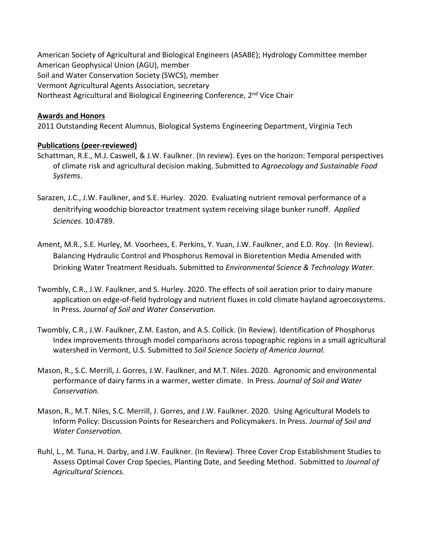American Society of Agricultural and Biological Engineers (ASABE); Hydrology Committee member American Geophysical Union (AGU), member Soil and Water Conservation Society (SWCS), member Vermont Agricultural Agents Association, secretary Northeast Agricultural and Biological Engineering Conference, 2<sup>nd</sup> Vice Chair

#### **Awards and Honors**

2011 Outstanding Recent Alumnus, Biological Systems Engineering Department, Virginia Tech

#### **Publications (peer-reviewed)**

- Schattman, R.E., M.J. Caswell, & J.W. Faulkner. (In review). Eyes on the horizon: Temporal perspectives of climate risk and agricultural decision making. Submitted to *Agroecology and Sustainable Food Systems*.
- Sarazen, J.C., J.W. Faulkner, and S.E. Hurley. 2020. Evaluating nutrient removal performance of a denitrifying woodchip bioreactor treatment system receiving silage bunker runoff. *Applied Sciences.* 10:4789.
- Ament, M.R., S.E. Hurley, M. Voorhees, E. Perkins, Y. Yuan, J.W. Faulkner, and E.D. Roy. (In Review). Balancing Hydraulic Control and Phosphorus Removal in Bioretention Media Amended with Drinking Water Treatment Residuals. Submitted to *Environmental Science & Technology Water.*
- Twombly, C.R., J.W. Faulkner, and S. Hurley. 2020. The effects of soil aeration prior to dairy manure application on edge-of-field hydrology and nutrient fluxes in cold climate hayland agroecosystems. In Press. *Journal of Soil and Water Conservation.*
- Twombly, C.R., J.W. Faulkner, Z.M. Easton, and A.S. Collick. (In Review). Identification of Phosphorus Index improvements through model comparisons across topographic regions in a small agricultural watershed in Vermont, U.S. Submitted to *Soil Science Society of America Journal.*
- Mason, R., S.C. Merrill, J. Gorres, J.W. Faulkner, and M.T. Niles. 2020. Agronomic and environmental performance of dairy farms in a warmer, wetter climate. In Press. *Journal of Soil and Water Conservation.*
- Mason, R., M.T. Niles, S.C. Merrill, J. Gorres, and J.W. Faulkner. 2020. Using Agricultural Models to Inform Policy: Discussion Points for Researchers and Policymakers. In Press. *Journal of Soil and Water Conservation.*
- Ruhl, L., M. Tuna, H. Darby, and J.W. Faulkner. (In Review). Three Cover Crop Establishment Studies to Assess Optimal Cover Crop Species, Planting Date, and Seeding Method. Submitted to *Journal of Agricultural Sciences.*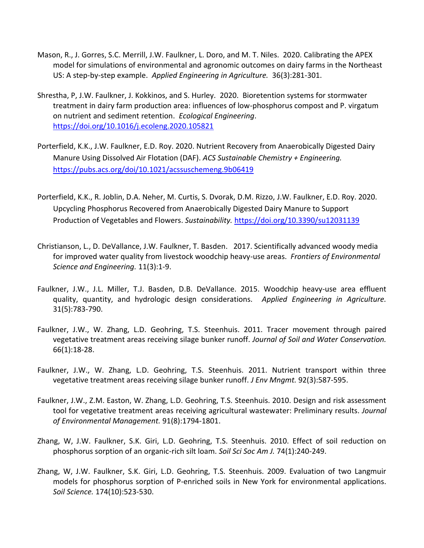- Mason, R., J. Gorres, S.C. Merrill, J.W. Faulkner, L. Doro, and M. T. Niles. 2020. Calibrating the APEX model for simulations of environmental and agronomic outcomes on dairy farms in the Northeast US: A step-by-step example. *Applied Engineering in Agriculture.* 36(3):281-301.
- Shrestha, P, J.W. Faulkner, J. Kokkinos, and S. Hurley. 2020. Bioretention systems for stormwater treatment in dairy farm production area: influences of low-phosphorus compost and P. virgatum on nutrient and sediment retention. *Ecological Engineering*. <https://doi.org/10.1016/j.ecoleng.2020.105821>
- Porterfield, K.K., J.W. Faulkner, E.D. Roy. 2020. Nutrient Recovery from Anaerobically Digested Dairy Manure Using Dissolved Air Flotation (DAF). *ACS Sustainable Chemistry + Engineering.* <https://pubs.acs.org/doi/10.1021/acssuschemeng.9b06419>
- Porterfield, K.K., R. Joblin, D.A. Neher, M. Curtis, S. Dvorak, D.M. Rizzo, J.W. Faulkner, E.D. Roy. 2020. Upcycling Phosphorus Recovered from Anaerobically Digested Dairy Manure to Support Production of Vegetables and Flowers. *Sustainability.* <https://doi.org/10.3390/su12031139>
- Christianson, L., D. DeVallance, J.W. Faulkner, T. Basden. 2017. Scientifically advanced woody media for improved water quality from livestock woodchip heavy-use areas. *Frontiers of Environmental Science and Engineering.* 11(3):1-9.
- Faulkner, J.W., J.L. Miller, T.J. Basden, D.B. DeVallance. 2015. Woodchip heavy-use area effluent quality, quantity, and hydrologic design considerations. *Applied Engineering in Agriculture.*  31(5):783-790.
- Faulkner, J.W., W. Zhang, L.D. Geohring, T.S. Steenhuis. 2011. Tracer movement through paired vegetative treatment areas receiving silage bunker runoff. *Journal of Soil and Water Conservation.*  66(1):18-28.
- Faulkner, J.W., W. Zhang, L.D. Geohring, T.S. Steenhuis. 2011. Nutrient transport within three vegetative treatment areas receiving silage bunker runoff. *J Env Mngmt.* 92(3):587-595.
- Faulkner, J.W., Z.M. Easton, W. Zhang, L.D. Geohring, T.S. Steenhuis. 2010. Design and risk assessment tool for vegetative treatment areas receiving agricultural wastewater: Preliminary results. *Journal of Environmental Management.* 91(8):1794-1801.
- Zhang, W, J.W. Faulkner, S.K. Giri, L.D. Geohring, T.S. Steenhuis. 2010. Effect of soil reduction on phosphorus sorption of an organic-rich silt loam. *Soil Sci Soc Am J.* 74(1):240-249.
- Zhang, W, J.W. Faulkner, S.K. Giri, L.D. Geohring, T.S. Steenhuis. 2009. Evaluation of two Langmuir models for phosphorus sorption of P-enriched soils in New York for environmental applications. *Soil Science.* 174(10):523-530.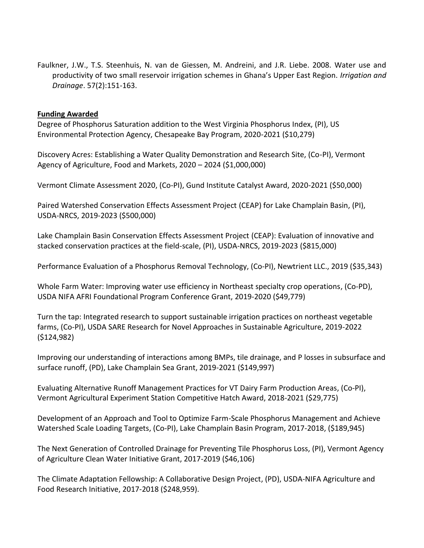Faulkner, J.W., T.S. Steenhuis, N. van de Giessen, M. Andreini, and J.R. Liebe. 2008. Water use and productivity of two small reservoir irrigation schemes in Ghana's Upper East Region. *Irrigation and Drainage*. 57(2):151-163.

#### **Funding Awarded**

Degree of Phosphorus Saturation addition to the West Virginia Phosphorus Index, (PI), US Environmental Protection Agency, Chesapeake Bay Program, 2020-2021 (\$10,279)

Discovery Acres: Establishing a Water Quality Demonstration and Research Site, (Co-PI), Vermont Agency of Agriculture, Food and Markets, 2020 – 2024 (\$1,000,000)

Vermont Climate Assessment 2020, (Co-PI), Gund Institute Catalyst Award, 2020-2021 (\$50,000)

Paired Watershed Conservation Effects Assessment Project (CEAP) for Lake Champlain Basin, (PI), USDA-NRCS, 2019-2023 (\$500,000)

Lake Champlain Basin Conservation Effects Assessment Project (CEAP): Evaluation of innovative and stacked conservation practices at the field-scale, (PI), USDA-NRCS, 2019-2023 (\$815,000)

Performance Evaluation of a Phosphorus Removal Technology, (Co-PI), Newtrient LLC., 2019 (\$35,343)

Whole Farm Water: Improving water use efficiency in Northeast specialty crop operations, (Co-PD), USDA NIFA AFRI Foundational Program Conference Grant, 2019-2020 (\$49,779)

Turn the tap: Integrated research to support sustainable irrigation practices on northeast vegetable farms, (Co-PI), USDA SARE Research for Novel Approaches in Sustainable Agriculture, 2019-2022 (\$124,982)

Improving our understanding of interactions among BMPs, tile drainage, and P losses in subsurface and surface runoff, (PD), Lake Champlain Sea Grant, 2019-2021 (\$149,997)

Evaluating Alternative Runoff Management Practices for VT Dairy Farm Production Areas, (Co-PI), Vermont Agricultural Experiment Station Competitive Hatch Award, 2018-2021 (\$29,775)

Development of an Approach and Tool to Optimize Farm-Scale Phosphorus Management and Achieve Watershed Scale Loading Targets, (Co-PI), Lake Champlain Basin Program, 2017-2018, (\$189,945)

The Next Generation of Controlled Drainage for Preventing Tile Phosphorus Loss, (PI), Vermont Agency of Agriculture Clean Water Initiative Grant, 2017-2019 (\$46,106)

The Climate Adaptation Fellowship: A Collaborative Design Project, (PD), USDA-NIFA Agriculture and Food Research Initiative, 2017-2018 (\$248,959).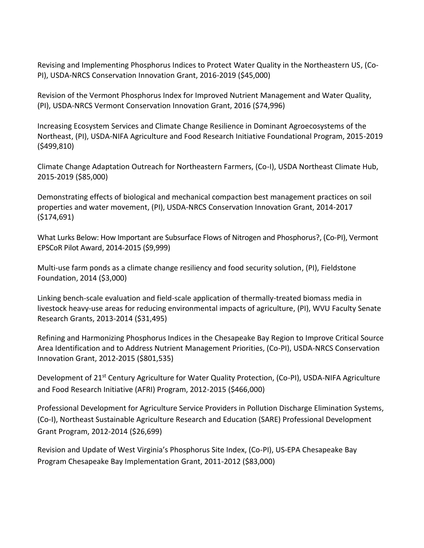Revising and Implementing Phosphorus Indices to Protect Water Quality in the Northeastern US, (Co-PI), USDA-NRCS Conservation Innovation Grant, 2016-2019 (\$45,000)

Revision of the Vermont Phosphorus Index for Improved Nutrient Management and Water Quality, (PI), USDA-NRCS Vermont Conservation Innovation Grant, 2016 (\$74,996)

Increasing Ecosystem Services and Climate Change Resilience in Dominant Agroecosystems of the Northeast, (PI), USDA-NIFA Agriculture and Food Research Initiative Foundational Program, 2015-2019 (\$499,810)

Climate Change Adaptation Outreach for Northeastern Farmers, (Co-I), USDA Northeast Climate Hub, 2015-2019 (\$85,000)

Demonstrating effects of biological and mechanical compaction best management practices on soil properties and water movement, (PI), USDA-NRCS Conservation Innovation Grant, 2014-2017 (\$174,691)

What Lurks Below: How Important are Subsurface Flows of Nitrogen and Phosphorus?, (Co-PI), Vermont EPSCoR Pilot Award, 2014-2015 (\$9,999)

Multi-use farm ponds as a climate change resiliency and food security solution, (PI), Fieldstone Foundation, 2014 (\$3,000)

Linking bench-scale evaluation and field-scale application of thermally-treated biomass media in livestock heavy-use areas for reducing environmental impacts of agriculture, (PI), WVU Faculty Senate Research Grants, 2013-2014 (\$31,495)

Refining and Harmonizing Phosphorus Indices in the Chesapeake Bay Region to Improve Critical Source Area Identification and to Address Nutrient Management Priorities, (Co-PI), USDA-NRCS Conservation Innovation Grant, 2012-2015 (\$801,535)

Development of 21<sup>st</sup> Century Agriculture for Water Quality Protection, (Co-PI), USDA-NIFA Agriculture and Food Research Initiative (AFRI) Program, 2012-2015 (\$466,000)

Professional Development for Agriculture Service Providers in Pollution Discharge Elimination Systems, (Co-I), Northeast Sustainable Agriculture Research and Education (SARE) Professional Development Grant Program, 2012-2014 (\$26,699)

Revision and Update of West Virginia's Phosphorus Site Index, (Co-PI), US-EPA Chesapeake Bay Program Chesapeake Bay Implementation Grant, 2011-2012 (\$83,000)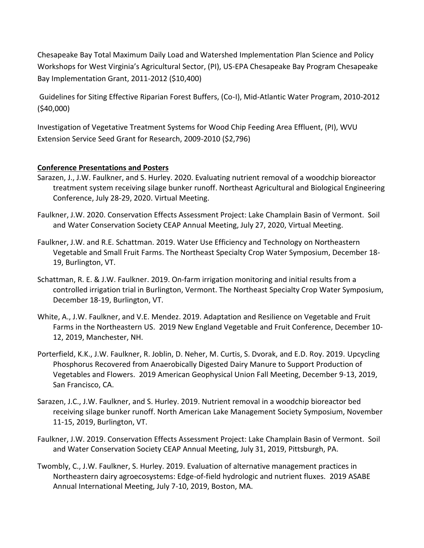Chesapeake Bay Total Maximum Daily Load and Watershed Implementation Plan Science and Policy Workshops for West Virginia's Agricultural Sector, (PI), US-EPA Chesapeake Bay Program Chesapeake Bay Implementation Grant, 2011-2012 (\$10,400)

Guidelines for Siting Effective Riparian Forest Buffers, (Co-I), Mid-Atlantic Water Program, 2010-2012 (\$40,000)

Investigation of Vegetative Treatment Systems for Wood Chip Feeding Area Effluent, (PI), WVU Extension Service Seed Grant for Research, 2009-2010 (\$2,796)

#### **Conference Presentations and Posters**

- Sarazen, J., J.W. Faulkner, and S. Hurley. 2020. Evaluating nutrient removal of a woodchip bioreactor treatment system receiving silage bunker runoff. Northeast Agricultural and Biological Engineering Conference, July 28-29, 2020. Virtual Meeting.
- Faulkner, J.W. 2020. Conservation Effects Assessment Project: Lake Champlain Basin of Vermont. Soil and Water Conservation Society CEAP Annual Meeting, July 27, 2020, Virtual Meeting.
- Faulkner, J.W. and R.E. Schattman. 2019. Water Use Efficiency and Technology on Northeastern Vegetable and Small Fruit Farms. The Northeast Specialty Crop Water Symposium, December 18- 19, Burlington, VT.
- Schattman, R. E. & J.W. Faulkner. 2019. On-farm irrigation monitoring and initial results from a controlled irrigation trial in Burlington, Vermont. The Northeast Specialty Crop Water Symposium, December 18-19, Burlington, VT.
- White, A., J.W. Faulkner, and V.E. Mendez. 2019. Adaptation and Resilience on Vegetable and Fruit Farms in the Northeastern US. 2019 New England Vegetable and Fruit Conference, December 10- 12, 2019, Manchester, NH.
- Porterfield, K.K., J.W. Faulkner, R. Joblin, D. Neher, M. Curtis, S. Dvorak, and E.D. Roy. 2019. Upcycling Phosphorus Recovered from Anaerobically Digested Dairy Manure to Support Production of Vegetables and Flowers. 2019 American Geophysical Union Fall Meeting, December 9-13, 2019, San Francisco, CA.
- Sarazen, J.C., J.W. Faulkner, and S. Hurley. 2019. Nutrient removal in a woodchip bioreactor bed receiving silage bunker runoff. North American Lake Management Society Symposium, November 11-15, 2019, Burlington, VT.
- Faulkner, J.W. 2019. Conservation Effects Assessment Project: Lake Champlain Basin of Vermont. Soil and Water Conservation Society CEAP Annual Meeting, July 31, 2019, Pittsburgh, PA.
- Twombly, C., J.W. Faulkner, S. Hurley. 2019. Evaluation of alternative management practices in Northeastern dairy agroecosystems: Edge-of-field hydrologic and nutrient fluxes. 2019 ASABE Annual International Meeting, July 7-10, 2019, Boston, MA.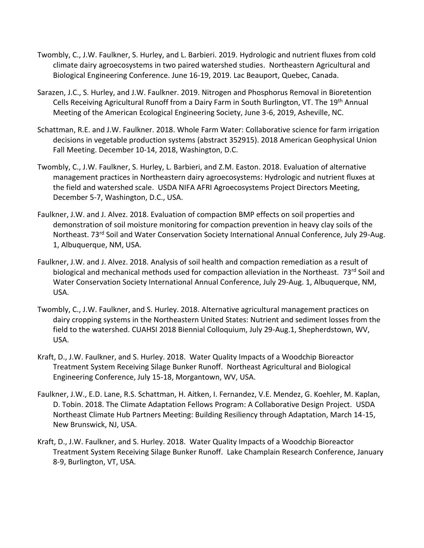- Twombly, C., J.W. Faulkner, S. Hurley, and L. Barbieri. 2019. Hydrologic and nutrient fluxes from cold climate dairy agroecosystems in two paired watershed studies. Northeastern Agricultural and Biological Engineering Conference. June 16-19, 2019. Lac Beauport, Quebec, Canada.
- Sarazen, J.C., S. Hurley, and J.W. Faulkner. 2019. Nitrogen and Phosphorus Removal in Bioretention Cells Receiving Agricultural Runoff from a Dairy Farm in South Burlington, VT. The 19th Annual Meeting of the American Ecological Engineering Society, June 3-6, 2019, Asheville, NC.
- Schattman, R.E. and J.W. Faulkner. 2018. Whole Farm Water: Collaborative science for farm irrigation decisions in vegetable production systems (abstract 352915). 2018 American Geophysical Union Fall Meeting. December 10-14, 2018, Washington, D.C.
- Twombly, C., J.W. Faulkner, S. Hurley, L. Barbieri, and Z.M. Easton. 2018. Evaluation of alternative management practices in Northeastern dairy agroecosystems: Hydrologic and nutrient fluxes at the field and watershed scale. USDA NIFA AFRI Agroecosystems Project Directors Meeting, December 5-7, Washington, D.C., USA.
- Faulkner, J.W. and J. Alvez. 2018. Evaluation of compaction BMP effects on soil properties and demonstration of soil moisture monitoring for compaction prevention in heavy clay soils of the Northeast. 73<sup>rd</sup> Soil and Water Conservation Society International Annual Conference, July 29-Aug. 1, Albuquerque, NM, USA.
- Faulkner, J.W. and J. Alvez. 2018. Analysis of soil health and compaction remediation as a result of biological and mechanical methods used for compaction alleviation in the Northeast. 73<sup>rd</sup> Soil and Water Conservation Society International Annual Conference, July 29-Aug. 1, Albuquerque, NM, USA.
- Twombly, C., J.W. Faulkner, and S. Hurley. 2018. Alternative agricultural management practices on dairy cropping systems in the Northeastern United States: Nutrient and sediment losses from the field to the watershed. CUAHSI 2018 Biennial Colloquium, July 29-Aug.1, Shepherdstown, WV, USA.
- Kraft, D., J.W. Faulkner, and S. Hurley. 2018. Water Quality Impacts of a Woodchip Bioreactor Treatment System Receiving Silage Bunker Runoff. Northeast Agricultural and Biological Engineering Conference, July 15-18, Morgantown, WV, USA.
- Faulkner, J.W., E.D. Lane, R.S. Schattman, H. Aitken, I. Fernandez, V.E. Mendez, G. Koehler, M. Kaplan, D. Tobin. 2018. The Climate Adaptation Fellows Program: A Collaborative Design Project. USDA Northeast Climate Hub Partners Meeting: Building Resiliency through Adaptation, March 14-15, New Brunswick, NJ, USA.
- Kraft, D., J.W. Faulkner, and S. Hurley. 2018. Water Quality Impacts of a Woodchip Bioreactor Treatment System Receiving Silage Bunker Runoff. Lake Champlain Research Conference, January 8-9, Burlington, VT, USA.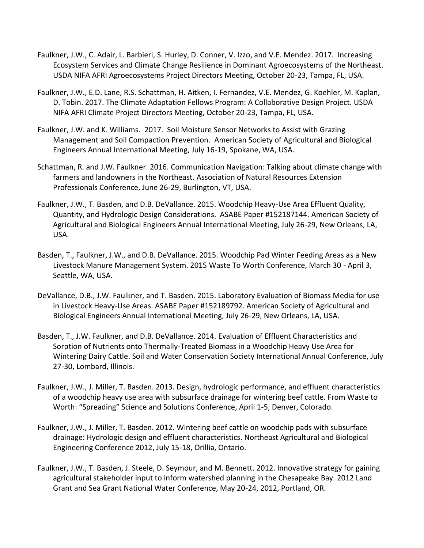- Faulkner, J.W., C. Adair, L. Barbieri, S. Hurley, D. Conner, V. Izzo, and V.E. Mendez. 2017. Increasing Ecosystem Services and Climate Change Resilience in Dominant Agroecosystems of the Northeast. USDA NIFA AFRI Agroecosystems Project Directors Meeting, October 20-23, Tampa, FL, USA.
- Faulkner, J.W., E.D. Lane, R.S. Schattman, H. Aitken, I. Fernandez, V.E. Mendez, G. Koehler, M. Kaplan, D. Tobin. 2017. The Climate Adaptation Fellows Program: A Collaborative Design Project. USDA NIFA AFRI Climate Project Directors Meeting, October 20-23, Tampa, FL, USA.
- Faulkner, J.W. and K. Williams. 2017. Soil Moisture Sensor Networks to Assist with Grazing Management and Soil Compaction Prevention. American Society of Agricultural and Biological Engineers Annual International Meeting, July 16-19, Spokane, WA, USA.
- Schattman, R. and J.W. Faulkner. 2016. Communication Navigation: Talking about climate change with farmers and landowners in the Northeast. Association of Natural Resources Extension Professionals Conference, June 26-29, Burlington, VT, USA.
- Faulkner, J.W., T. Basden, and D.B. DeVallance. 2015. Woodchip Heavy-Use Area Effluent Quality, Quantity, and Hydrologic Design Considerations. ASABE Paper #152187144. American Society of Agricultural and Biological Engineers Annual International Meeting, July 26-29, New Orleans, LA, USA.
- Basden, T., Faulkner, J.W., and D.B. DeVallance. 2015. Woodchip Pad Winter Feeding Areas as a New Livestock Manure Management System. 2015 Waste To Worth Conference, March 30 - April 3, Seattle, WA, USA.
- DeVallance, D.B., J.W. Faulkner, and T. Basden. 2015. Laboratory Evaluation of Biomass Media for use in Livestock Heavy-Use Areas. ASABE Paper #152189792. American Society of Agricultural and Biological Engineers Annual International Meeting, July 26-29, New Orleans, LA, USA.
- Basden, T., J.W. Faulkner, and D.B. DeVallance. 2014. Evaluation of Effluent Characteristics and Sorption of Nutrients onto Thermally-Treated Biomass in a Woodchip Heavy Use Area for Wintering Dairy Cattle. Soil and Water Conservation Society International Annual Conference, July 27-30, Lombard, Illinois.
- Faulkner, J.W., J. Miller, T. Basden. 2013. Design, hydrologic performance, and effluent characteristics of a woodchip heavy use area with subsurface drainage for wintering beef cattle. From Waste to Worth: "Spreading" Science and Solutions Conference, April 1-5, Denver, Colorado.
- Faulkner, J.W., J. Miller, T. Basden. 2012. Wintering beef cattle on woodchip pads with subsurface drainage: Hydrologic design and effluent characteristics. Northeast Agricultural and Biological Engineering Conference 2012, July 15-18, Orillia, Ontario.
- Faulkner, J.W., T. Basden, J. Steele, D. Seymour, and M. Bennett. 2012. Innovative strategy for gaining agricultural stakeholder input to inform watershed planning in the Chesapeake Bay. 2012 Land Grant and Sea Grant National Water Conference, May 20-24, 2012, Portland, OR.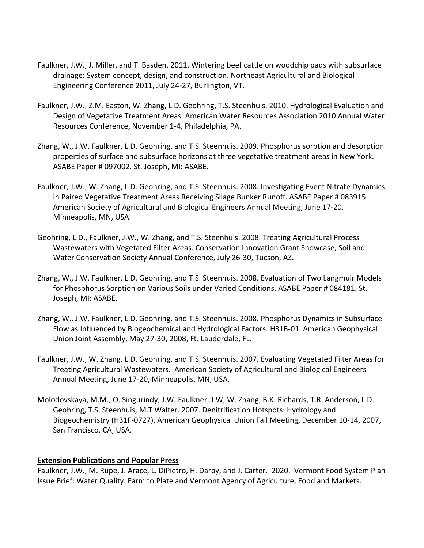- Faulkner, J.W., J. Miller, and T. Basden. 2011. Wintering beef cattle on woodchip pads with subsurface drainage: System concept, design, and construction. Northeast Agricultural and Biological Engineering Conference 2011, July 24-27, Burlington, VT.
- Faulkner, J.W., Z.M. Easton, W. Zhang, L.D. Geohring, T.S. Steenhuis. 2010. Hydrological Evaluation and Design of Vegetative Treatment Areas. American Water Resources Association 2010 Annual Water Resources Conference, November 1-4, Philadelphia, PA.
- Zhang, W., J.W. Faulkner, L.D. Geohring, and T.S. Steenhuis. 2009. Phosphorus sorption and desorption properties of surface and subsurface horizons at three vegetative treatment areas in New York. ASABE Paper # 097002. St. Joseph, MI: ASABE.
- Faulkner, J.W., W. Zhang, L.D. Geohring, and T.S. Steenhuis. 2008. Investigating Event Nitrate Dynamics in Paired Vegetative Treatment Areas Receiving Silage Bunker Runoff. ASABE Paper # 083915. American Society of Agricultural and Biological Engineers Annual Meeting, June 17-20, Minneapolis, MN, USA.
- Geohring, L.D., Faulkner, J.W., W. Zhang, and T.S. Steenhuis. 2008. Treating Agricultural Process Wastewaters with Vegetated Filter Areas. Conservation Innovation Grant Showcase, Soil and Water Conservation Society Annual Conference, July 26-30, Tucson, AZ.
- Zhang, W., J.W. Faulkner, L.D. Geohring, and T.S. Steenhuis. 2008. Evaluation of Two Langmuir Models for Phosphorus Sorption on Various Soils under Varied Conditions. ASABE Paper # 084181. St. Joseph, MI: ASABE.
- Zhang, W., J.W. Faulkner, L.D. Geohring, and T.S. Steenhuis. 2008. Phosphorus Dynamics in Subsurface Flow as Influenced by Biogeochemical and Hydrological Factors. H31B-01. American Geophysical Union Joint Assembly, May 27-30, 2008, Ft. Lauderdale, FL.
- Faulkner, J.W., W. Zhang, L.D. Geohring, and T.S. Steenhuis. 2007. Evaluating Vegetated Filter Areas for Treating Agricultural Wastewaters. American Society of Agricultural and Biological Engineers Annual Meeting, June 17-20, Minneapolis, MN, USA.
- Molodovskaya, M.M., O. Singurindy, J.W. Faulkner, J W, W. Zhang, B.K. Richards, T.R. Anderson, L.D. Geohring, T.S. Steenhuis, M.T Walter. 2007. Denitrification Hotspots: Hydrology and Biogeochemistry (H31F-0727). American Geophysical Union Fall Meeting, December 10-14, 2007, San Francisco, CA, USA.

#### **Extension Publications and Popular Press**

Faulkner, J.W., M. Rupe, J. Arace, L. DiPietro, H. Darby, and J. Carter. 2020. Vermont Food System Plan Issue Brief: Water Quality. Farm to Plate and Vermont Agency of Agriculture, Food and Markets.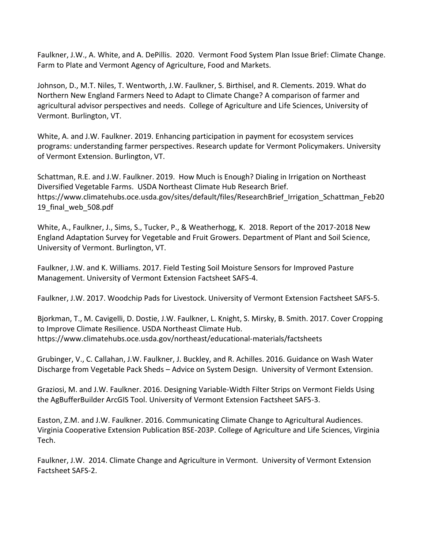Faulkner, J.W., A. White, and A. DePillis. 2020. Vermont Food System Plan Issue Brief: Climate Change. Farm to Plate and Vermont Agency of Agriculture, Food and Markets.

Johnson, D., M.T. Niles, T. Wentworth, J.W. Faulkner, S. Birthisel, and R. Clements. 2019. What do Northern New England Farmers Need to Adapt to Climate Change? A comparison of farmer and agricultural advisor perspectives and needs. College of Agriculture and Life Sciences, University of Vermont. Burlington, VT.

White, A. and J.W. Faulkner. 2019. Enhancing participation in payment for ecosystem services programs: understanding farmer perspectives. Research update for Vermont Policymakers. University of Vermont Extension. Burlington, VT.

Schattman, R.E. and J.W. Faulkner. 2019. How Much is Enough? Dialing in Irrigation on Northeast Diversified Vegetable Farms. USDA Northeast Climate Hub Research Brief. https://www.climatehubs.oce.usda.gov/sites/default/files/ResearchBrief\_Irrigation\_Schattman\_Feb20 19\_final\_web\_508.pdf

White, A., Faulkner, J., Sims, S., Tucker, P., & Weatherhogg, K. 2018. Report of the 2017-2018 New England Adaptation Survey for Vegetable and Fruit Growers. Department of Plant and Soil Science, University of Vermont. Burlington, VT.

Faulkner, J.W. and K. Williams. 2017. Field Testing Soil Moisture Sensors for Improved Pasture Management. University of Vermont Extension Factsheet SAFS-4.

Faulkner, J.W. 2017. Woodchip Pads for Livestock. University of Vermont Extension Factsheet SAFS-5.

Bjorkman, T., M. Cavigelli, D. Dostie, J.W. Faulkner, L. Knight, S. Mirsky, B. Smith. 2017. Cover Cropping to Improve Climate Resilience. USDA Northeast Climate Hub. https://www.climatehubs.oce.usda.gov/northeast/educational-materials/factsheets

Grubinger, V., C. Callahan, J.W. Faulkner, J. Buckley, and R. Achilles. 2016. Guidance on Wash Water Discharge from Vegetable Pack Sheds – Advice on System Design. University of Vermont Extension.

Graziosi, M. and J.W. Faulkner. 2016. Designing Variable-Width Filter Strips on Vermont Fields Using the AgBufferBuilder ArcGIS Tool. University of Vermont Extension Factsheet SAFS-3.

Easton, Z.M. and J.W. Faulkner. 2016. Communicating Climate Change to Agricultural Audiences. Virginia Cooperative Extension Publication BSE-203P. College of Agriculture and Life Sciences, Virginia Tech.

Faulkner, J.W. 2014. Climate Change and Agriculture in Vermont. University of Vermont Extension Factsheet SAFS-2.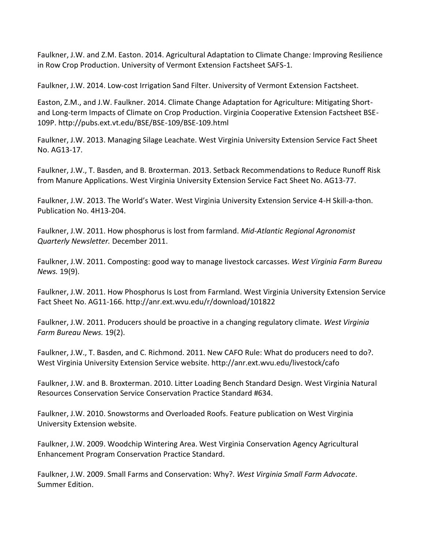Faulkner, J.W. and Z.M. Easton. 2014. Agricultural Adaptation to Climate Change*:* Improving Resilience in Row Crop Production. University of Vermont Extension Factsheet SAFS-1.

Faulkner, J.W. 2014. Low-cost Irrigation Sand Filter. University of Vermont Extension Factsheet.

Easton, Z.M., and J.W. Faulkner. 2014. Climate Change Adaptation for Agriculture: Mitigating Shortand Long-term Impacts of Climate on Crop Production. Virginia Cooperative Extension Factsheet BSE-109P. http://pubs.ext.vt.edu/BSE/BSE-109/BSE-109.html

Faulkner, J.W. 2013. Managing Silage Leachate. West Virginia University Extension Service Fact Sheet No. AG13-17.

Faulkner, J.W., T. Basden, and B. Broxterman. 2013. Setback Recommendations to Reduce Runoff Risk from Manure Applications. West Virginia University Extension Service Fact Sheet No. AG13-77.

Faulkner, J.W. 2013. The World's Water. West Virginia University Extension Service 4-H Skill-a-thon. Publication No. 4H13-204.

Faulkner, J.W. 2011. How phosphorus is lost from farmland. *Mid-Atlantic Regional Agronomist Quarterly Newsletter.* December 2011.

Faulkner, J.W. 2011. Composting: good way to manage livestock carcasses. *West Virginia Farm Bureau News.* 19(9).

Faulkner, J.W. 2011. How Phosphorus Is Lost from Farmland. West Virginia University Extension Service Fact Sheet No. AG11-166. http://anr.ext.wvu.edu/r/download/101822

Faulkner, J.W. 2011. Producers should be proactive in a changing regulatory climate. *West Virginia Farm Bureau News.* 19(2).

Faulkner, J.W., T. Basden, and C. Richmond. 2011. New CAFO Rule: What do producers need to do?. West Virginia University Extension Service website. http://anr.ext.wvu.edu/livestock/cafo

Faulkner, J.W. and B. Broxterman. 2010. Litter Loading Bench Standard Design. West Virginia Natural Resources Conservation Service Conservation Practice Standard #634.

Faulkner, J.W. 2010. Snowstorms and Overloaded Roofs. Feature publication on West Virginia University Extension website.

Faulkner, J.W. 2009. Woodchip Wintering Area. West Virginia Conservation Agency Agricultural Enhancement Program Conservation Practice Standard.

Faulkner, J.W. 2009. Small Farms and Conservation: Why?. *West Virginia Small Farm Advocate*. Summer Edition.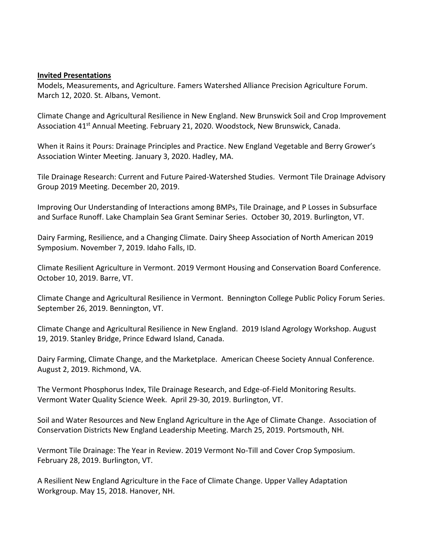#### **Invited Presentations**

Models, Measurements, and Agriculture. Famers Watershed Alliance Precision Agriculture Forum. March 12, 2020. St. Albans, Vemont.

Climate Change and Agricultural Resilience in New England. New Brunswick Soil and Crop Improvement Association 41<sup>st</sup> Annual Meeting. February 21, 2020. Woodstock, New Brunswick, Canada.

When it Rains it Pours: Drainage Principles and Practice. New England Vegetable and Berry Grower's Association Winter Meeting. January 3, 2020. Hadley, MA.

Tile Drainage Research: Current and Future Paired-Watershed Studies. Vermont Tile Drainage Advisory Group 2019 Meeting. December 20, 2019.

Improving Our Understanding of Interactions among BMPs, Tile Drainage, and P Losses in Subsurface and Surface Runoff. Lake Champlain Sea Grant Seminar Series. October 30, 2019. Burlington, VT.

Dairy Farming, Resilience, and a Changing Climate. Dairy Sheep Association of North American 2019 Symposium. November 7, 2019. Idaho Falls, ID.

Climate Resilient Agriculture in Vermont. 2019 Vermont Housing and Conservation Board Conference. October 10, 2019. Barre, VT.

Climate Change and Agricultural Resilience in Vermont. Bennington College Public Policy Forum Series. September 26, 2019. Bennington, VT.

Climate Change and Agricultural Resilience in New England. 2019 Island Agrology Workshop. August 19, 2019. Stanley Bridge, Prince Edward Island, Canada.

Dairy Farming, Climate Change, and the Marketplace. American Cheese Society Annual Conference. August 2, 2019. Richmond, VA.

The Vermont Phosphorus Index, Tile Drainage Research, and Edge-of-Field Monitoring Results. Vermont Water Quality Science Week. April 29-30, 2019. Burlington, VT.

Soil and Water Resources and New England Agriculture in the Age of Climate Change. Association of Conservation Districts New England Leadership Meeting. March 25, 2019. Portsmouth, NH.

Vermont Tile Drainage: The Year in Review. 2019 Vermont No-Till and Cover Crop Symposium. February 28, 2019. Burlington, VT.

A Resilient New England Agriculture in the Face of Climate Change. Upper Valley Adaptation Workgroup. May 15, 2018. Hanover, NH.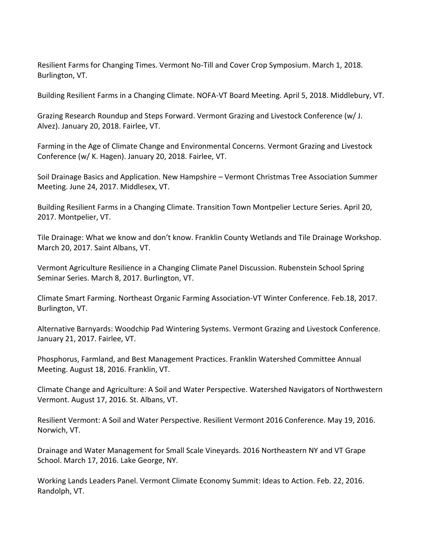Resilient Farms for Changing Times. Vermont No-Till and Cover Crop Symposium. March 1, 2018. Burlington, VT.

Building Resilient Farms in a Changing Climate. NOFA-VT Board Meeting. April 5, 2018. Middlebury, VT.

Grazing Research Roundup and Steps Forward. Vermont Grazing and Livestock Conference (w/ J. Alvez). January 20, 2018. Fairlee, VT.

Farming in the Age of Climate Change and Environmental Concerns. Vermont Grazing and Livestock Conference (w/ K. Hagen). January 20, 2018. Fairlee, VT.

Soil Drainage Basics and Application. New Hampshire – Vermont Christmas Tree Association Summer Meeting. June 24, 2017. Middlesex, VT.

Building Resilient Farms in a Changing Climate. Transition Town Montpelier Lecture Series. April 20, 2017. Montpelier, VT.

Tile Drainage: What we know and don't know. Franklin County Wetlands and Tile Drainage Workshop. March 20, 2017. Saint Albans, VT.

Vermont Agriculture Resilience in a Changing Climate Panel Discussion. Rubenstein School Spring Seminar Series. March 8, 2017. Burlington, VT.

Climate Smart Farming. Northeast Organic Farming Association-VT Winter Conference. Feb.18, 2017. Burlington, VT.

Alternative Barnyards: Woodchip Pad Wintering Systems. Vermont Grazing and Livestock Conference. January 21, 2017. Fairlee, VT.

Phosphorus, Farmland, and Best Management Practices. Franklin Watershed Committee Annual Meeting. August 18, 2016. Franklin, VT.

Climate Change and Agriculture: A Soil and Water Perspective. Watershed Navigators of Northwestern Vermont. August 17, 2016. St. Albans, VT.

Resilient Vermont: A Soil and Water Perspective. Resilient Vermont 2016 Conference. May 19, 2016. Norwich, VT.

Drainage and Water Management for Small Scale Vineyards. 2016 Northeastern NY and VT Grape School. March 17, 2016. Lake George, NY.

Working Lands Leaders Panel. Vermont Climate Economy Summit: Ideas to Action. Feb. 22, 2016. Randolph, VT.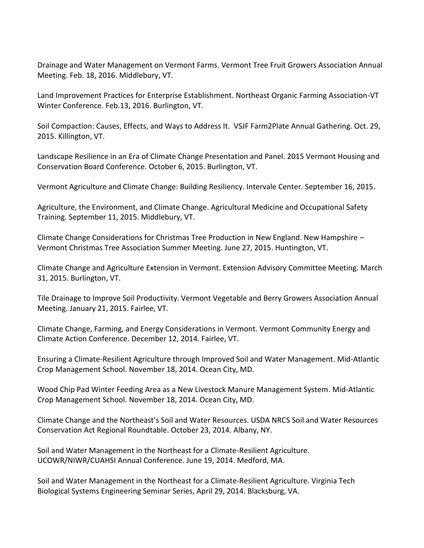Drainage and Water Management on Vermont Farms. Vermont Tree Fruit Growers Association Annual Meeting. Feb. 18, 2016. Middlebury, VT.

Land Improvement Practices for Enterprise Establishment. Northeast Organic Farming Association-VT Winter Conference. Feb.13, 2016. Burlington, VT.

Soil Compaction: Causes, Effects, and Ways to Address It. VSJF Farm2Plate Annual Gathering. Oct. 29, 2015. Killington, VT.

Landscape Resilience in an Era of Climate Change Presentation and Panel. 2015 Vermont Housing and Conservation Board Conference. October 6, 2015. Burlington, VT.

Vermont Agriculture and Climate Change: Building Resiliency. Intervale Center. September 16, 2015.

Agriculture, the Environment, and Climate Change. Agricultural Medicine and Occupational Safety Training. September 11, 2015. Middlebury, VT.

Climate Change Considerations for Christmas Tree Production in New England. New Hampshire – Vermont Christmas Tree Association Summer Meeting. June 27, 2015. Huntington, VT.

Climate Change and Agriculture Extension in Vermont. Extension Advisory Committee Meeting. March 31, 2015. Burlington, VT.

Tile Drainage to Improve Soil Productivity. Vermont Vegetable and Berry Growers Association Annual Meeting. January 21, 2015. Fairlee, VT.

Climate Change, Farming, and Energy Considerations in Vermont. Vermont Community Energy and Climate Action Conference. December 12, 2014. Fairlee, VT.

Ensuring a Climate-Resilient Agriculture through Improved Soil and Water Management. Mid-Atlantic Crop Management School. November 18, 2014. Ocean City, MD.

Wood Chip Pad Winter Feeding Area as a New Livestock Manure Management System. Mid-Atlantic Crop Management School. November 18, 2014. Ocean City, MD.

Climate Change and the Northeast's Soil and Water Resources. USDA NRCS Soil and Water Resources Conservation Act Regional Roundtable. October 23, 2014. Albany, NY.

Soil and Water Management in the Northeast for a Climate-Resilient Agriculture. UCOWR/NIWR/CUAHSI Annual Conference. June 19, 2014. Medford, MA.

Soil and Water Management in the Northeast for a Climate-Resilient Agriculture. Virginia Tech Biological Systems Engineering Seminar Series, April 29, 2014. Blacksburg, VA.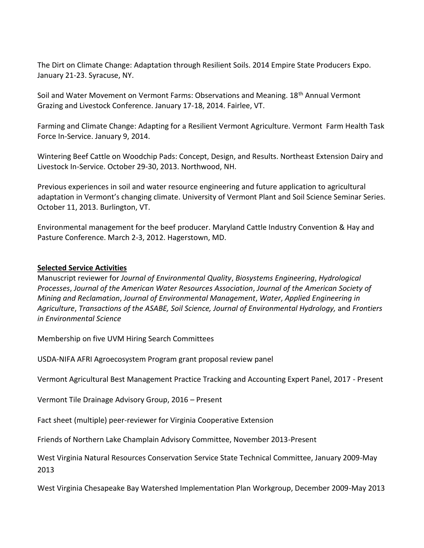The Dirt on Climate Change: Adaptation through Resilient Soils. 2014 Empire State Producers Expo. January 21-23. Syracuse, NY.

Soil and Water Movement on Vermont Farms: Observations and Meaning. 18<sup>th</sup> Annual Vermont Grazing and Livestock Conference. January 17-18, 2014. Fairlee, VT.

Farming and Climate Change: Adapting for a Resilient Vermont Agriculture. Vermont Farm Health Task Force In-Service. January 9, 2014.

Wintering Beef Cattle on Woodchip Pads: Concept, Design, and Results. Northeast Extension Dairy and Livestock In-Service. October 29-30, 2013. Northwood, NH.

Previous experiences in soil and water resource engineering and future application to agricultural adaptation in Vermont's changing climate. University of Vermont Plant and Soil Science Seminar Series. October 11, 2013. Burlington, VT.

Environmental management for the beef producer. Maryland Cattle Industry Convention & Hay and Pasture Conference. March 2-3, 2012. Hagerstown, MD.

#### **Selected Service Activities**

Manuscript reviewer for *Journal of Environmental Quality*, *Biosystems Engineering*, *Hydrological Processes*, *Journal of the American Water Resources Association*, *Journal of the American Society of Mining and Reclamation*, *Journal of Environmental Management*, *Water*, *Applied Engineering in Agriculture*, *Transactions of the ASABE, Soil Science, Journal of Environmental Hydrology,* and *Frontiers in Environmental Science*

Membership on five UVM Hiring Search Committees

USDA-NIFA AFRI Agroecosystem Program grant proposal review panel

Vermont Agricultural Best Management Practice Tracking and Accounting Expert Panel, 2017 - Present

Vermont Tile Drainage Advisory Group, 2016 – Present

Fact sheet (multiple) peer-reviewer for Virginia Cooperative Extension

Friends of Northern Lake Champlain Advisory Committee, November 2013-Present

West Virginia Natural Resources Conservation Service State Technical Committee, January 2009-May 2013

West Virginia Chesapeake Bay Watershed Implementation Plan Workgroup, December 2009-May 2013